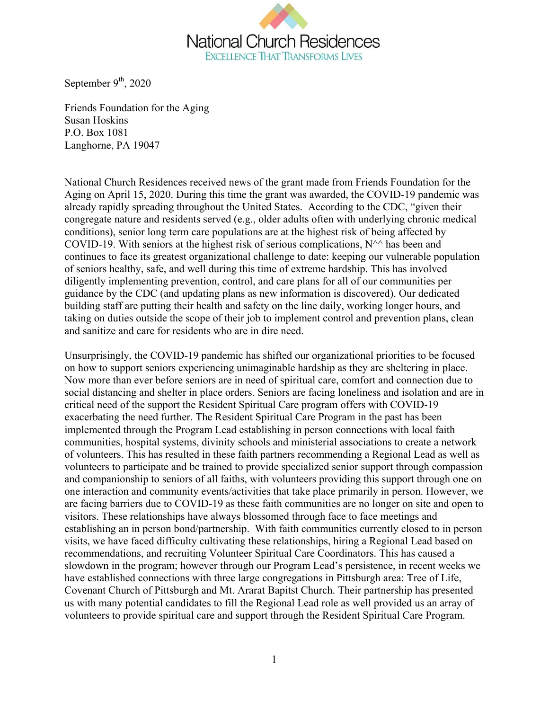

September  $9<sup>th</sup>$ , 2020

Friends Foundation for the Aging Susan Hoskins P.O. Box 1081 Langhorne, PA 19047

National Church Residences received news of the grant made from Friends Foundation for the Aging on April 15, 2020. During this time the grant was awarded, the COVID-19 pandemic was already rapidly spreading throughout the United States. According to the CDC, "given their congregate nature and residents served (e.g., older adults often with underlying chronic medical conditions), senior long term care populations are at the highest risk of being affected by COVID-19. With seniors at the highest risk of serious complications,  $N^{\wedge}$  has been and continues to face its greatest organizational challenge to date: keeping our vulnerable population of seniors healthy, safe, and well during this time of extreme hardship. This has involved diligently implementing prevention, control, and care plans for all of our communities per guidance by the CDC (and updating plans as new information is discovered). Our dedicated building staff are putting their health and safety on the line daily, working longer hours, and taking on duties outside the scope of their job to implement control and prevention plans, clean and sanitize and care for residents who are in dire need.

Unsurprisingly, the COVID-19 pandemic has shifted our organizational priorities to be focused on how to support seniors experiencing unimaginable hardship as they are sheltering in place. Now more than ever before seniors are in need of spiritual care, comfort and connection due to social distancing and shelter in place orders. Seniors are facing loneliness and isolation and are in critical need of the support the Resident Spiritual Care program offers with COVID-19 exacerbating the need further. The Resident Spiritual Care Program in the past has been implemented through the Program Lead establishing in person connections with local faith communities, hospital systems, divinity schools and ministerial associations to create a network of volunteers. This has resulted in these faith partners recommending a Regional Lead as well as volunteers to participate and be trained to provide specialized senior support through compassion and companionship to seniors of all faiths, with volunteers providing this support through one on one interaction and community events/activities that take place primarily in person. However, we are facing barriers due to COVID-19 as these faith communities are no longer on site and open to visitors. These relationships have always blossomed through face to face meetings and establishing an in person bond/partnership. With faith communities currently closed to in person visits, we have faced difficulty cultivating these relationships, hiring a Regional Lead based on recommendations, and recruiting Volunteer Spiritual Care Coordinators. This has caused a slowdown in the program; however through our Program Lead's persistence, in recent weeks we have established connections with three large congregations in Pittsburgh area: Tree of Life, Covenant Church of Pittsburgh and Mt. Ararat Bapitst Church. Their partnership has presented us with many potential candidates to fill the Regional Lead role as well provided us an array of volunteers to provide spiritual care and support through the Resident Spiritual Care Program.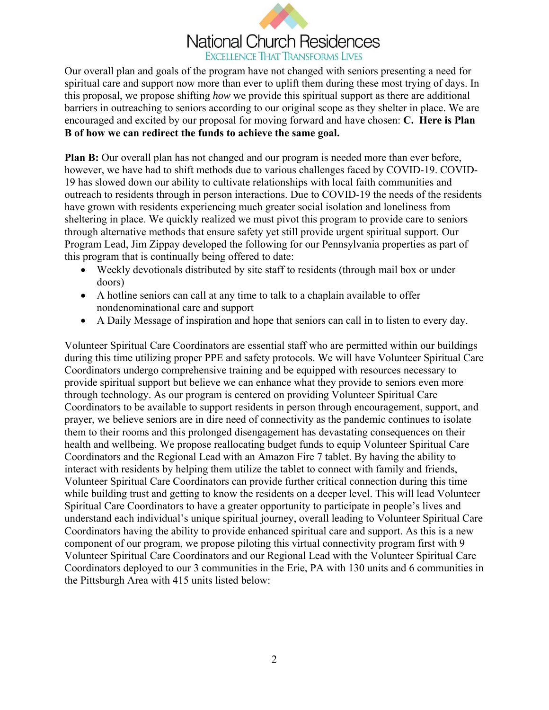# **National Church Residences EXCELLENCE THAT TRANSFORMS LIVES**

Our overall plan and goals of the program have not changed with seniors presenting a need for spiritual care and support now more than ever to uplift them during these most trying of days. In this proposal, we propose shifting *how* we provide this spiritual support as there are additional barriers in outreaching to seniors according to our original scope as they shelter in place. We are encouraged and excited by our proposal for moving forward and have chosen: **C. Here is Plan B of how we can redirect the funds to achieve the same goal.** 

**Plan B:** Our overall plan has not changed and our program is needed more than ever before, however, we have had to shift methods due to various challenges faced by COVID-19. COVID-19 has slowed down our ability to cultivate relationships with local faith communities and outreach to residents through in person interactions. Due to COVID-19 the needs of the residents have grown with residents experiencing much greater social isolation and loneliness from sheltering in place. We quickly realized we must pivot this program to provide care to seniors through alternative methods that ensure safety yet still provide urgent spiritual support. Our Program Lead, Jim Zippay developed the following for our Pennsylvania properties as part of this program that is continually being offered to date:

- Weekly devotionals distributed by site staff to residents (through mail box or under doors)
- A hotline seniors can call at any time to talk to a chaplain available to offer nondenominational care and support
- A Daily Message of inspiration and hope that seniors can call in to listen to every day.

Volunteer Spiritual Care Coordinators are essential staff who are permitted within our buildings during this time utilizing proper PPE and safety protocols. We will have Volunteer Spiritual Care Coordinators undergo comprehensive training and be equipped with resources necessary to provide spiritual support but believe we can enhance what they provide to seniors even more through technology. As our program is centered on providing Volunteer Spiritual Care Coordinators to be available to support residents in person through encouragement, support, and prayer, we believe seniors are in dire need of connectivity as the pandemic continues to isolate them to their rooms and this prolonged disengagement has devastating consequences on their health and wellbeing. We propose reallocating budget funds to equip Volunteer Spiritual Care Coordinators and the Regional Lead with an Amazon Fire 7 tablet. By having the ability to interact with residents by helping them utilize the tablet to connect with family and friends, Volunteer Spiritual Care Coordinators can provide further critical connection during this time while building trust and getting to know the residents on a deeper level. This will lead Volunteer Spiritual Care Coordinators to have a greater opportunity to participate in people's lives and understand each individual's unique spiritual journey, overall leading to Volunteer Spiritual Care Coordinators having the ability to provide enhanced spiritual care and support. As this is a new component of our program, we propose piloting this virtual connectivity program first with 9 Volunteer Spiritual Care Coordinators and our Regional Lead with the Volunteer Spiritual Care Coordinators deployed to our 3 communities in the Erie, PA with 130 units and 6 communities in the Pittsburgh Area with 415 units listed below: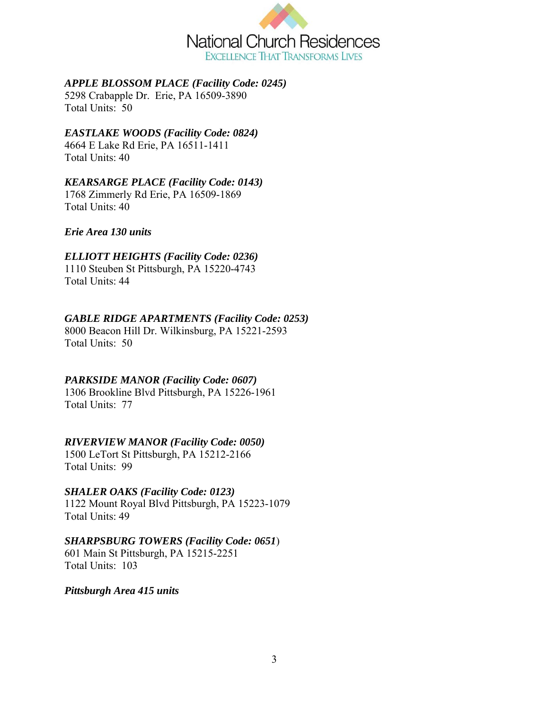

## *APPLE BLOSSOM PLACE (Facility Code: 0245)*

5298 Crabapple Dr. Erie, PA 16509-3890 Total Units: 50

## *EASTLAKE WOODS (Facility Code: 0824)*

4664 E Lake Rd Erie, PA 16511-1411 Total Units: 40

#### *KEARSARGE PLACE (Facility Code: 0143)*

1768 Zimmerly Rd Erie, PA 16509-1869 Total Units: 40

## *Erie Area 130 units*

## *ELLIOTT HEIGHTS (Facility Code: 0236)*

1110 Steuben St Pittsburgh, PA 15220-4743 Total Units: 44

## *GABLE RIDGE APARTMENTS (Facility Code: 0253)*

8000 Beacon Hill Dr. Wilkinsburg, PA 15221-2593 Total Units: 50

## *PARKSIDE MANOR (Facility Code: 0607)*

1306 Brookline Blvd Pittsburgh, PA 15226-1961 Total Units: 77

# *RIVERVIEW MANOR (Facility Code: 0050)*

1500 LeTort St Pittsburgh, PA 15212-2166 Total Units: 99

## *SHALER OAKS (Facility Code: 0123)*

1122 Mount Royal Blvd Pittsburgh, PA 15223-1079 Total Units: 49

## *SHARPSBURG TOWERS (Facility Code: 0651*)

601 Main St Pittsburgh, PA 15215-2251 Total Units: 103

#### *Pittsburgh Area 415 units*